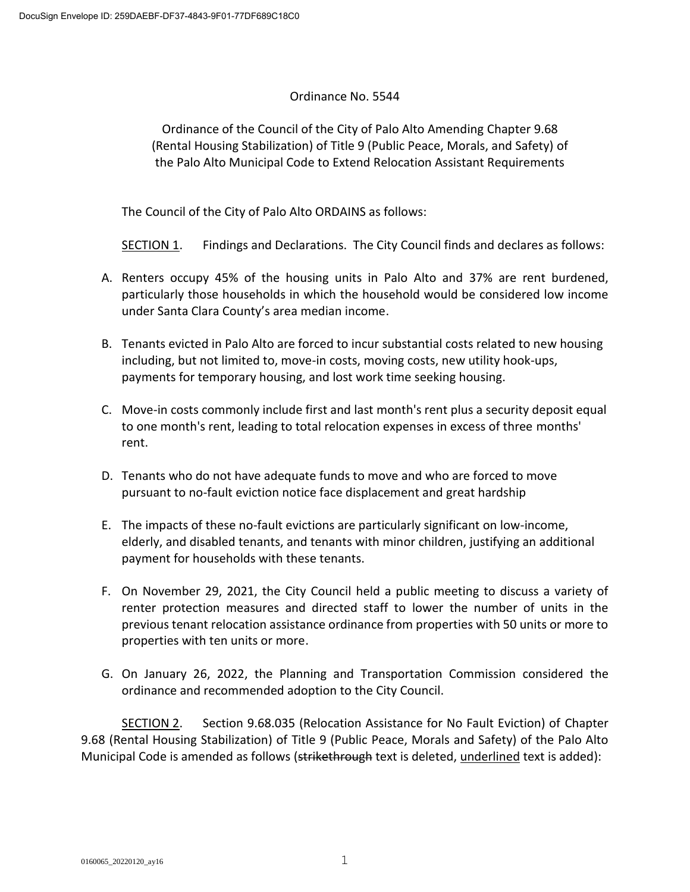# Ordinance No. 5544

Ordinance of the Council of the City of Palo Alto Amending Chapter 9.68 (Rental Housing Stabilization) of Title 9 (Public Peace, Morals, and Safety) of the Palo Alto Municipal Code to Extend Relocation Assistant Requirements

The Council of the City of Palo Alto ORDAINS as follows:

SECTION 1. Findings and Declarations. The City Council finds and declares as follows:

- A. Renters occupy 45% of the housing units in Palo Alto and 37% are rent burdened, particularly those households in which the household would be considered low income under Santa Clara County's area median income.
- B. Tenants evicted in Palo Alto are forced to incur substantial costs related to new housing including, but not limited to, move-in costs, moving costs, new utility hook-ups, payments for temporary housing, and lost work time seeking housing.
- C. Move-in costs commonly include first and last month's rent plus a security deposit equal to one month's rent, leading to total relocation expenses in excess of three months' rent.
- D. Tenants who do not have adequate funds to move and who are forced to move pursuant to no-fault eviction notice face displacement and great hardship
- E. The impacts of these no-fault evictions are particularly significant on low-income, elderly, and disabled tenants, and tenants with minor children, justifying an additional payment for households with these tenants.
- F. On November 29, 2021, the City Council held a public meeting to discuss a variety of renter protection measures and directed staff to lower the number of units in the previous tenant relocation assistance ordinance from properties with 50 units or more to properties with ten units or more.
- G. On January 26, 2022, the Planning and Transportation Commission considered the ordinance and recommended adoption to the City Council.

SECTION 2. Section 9.68.035 (Relocation Assistance for No Fault Eviction) of Chapter 9.68 (Rental Housing Stabilization) of Title 9 (Public Peace, Morals and Safety) of the Palo Alto Municipal Code is amended as follows (strikethrough text is deleted, underlined text is added):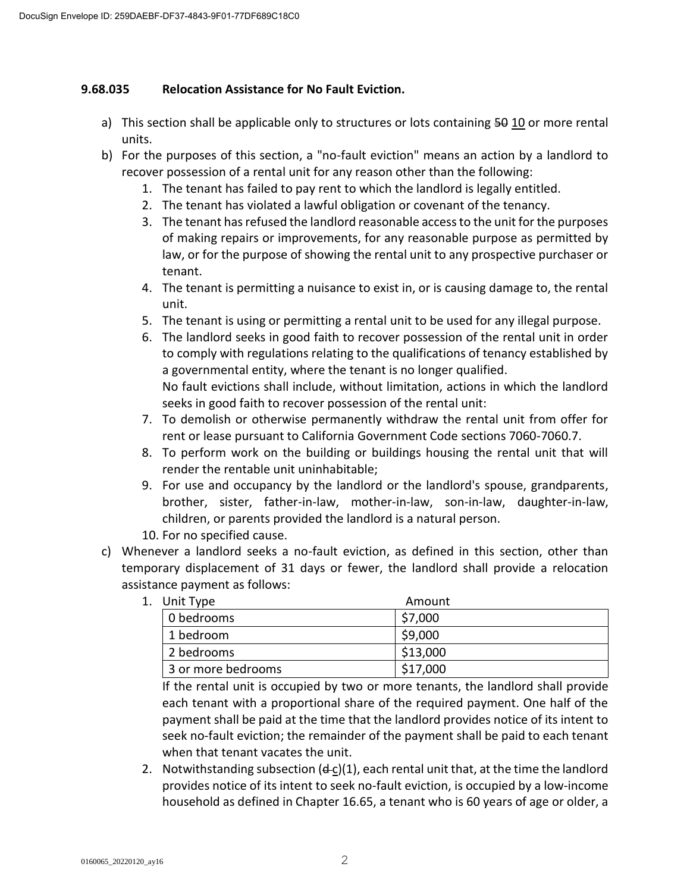## **9.68.035 Relocation Assistance for No Fault Eviction.**

- a) This section shall be applicable only to structures or lots containing 50 10 or more rental units.
- b) For the purposes of this section, a "no-fault eviction" means an action by a landlord to recover possession of a rental unit for any reason other than the following:
	- 1. The tenant has failed to pay rent to which the landlord is legally entitled.
	- 2. The tenant has violated a lawful obligation or covenant of the tenancy.
	- 3. The tenant has refused the landlord reasonable access to the unit for the purposes of making repairs or improvements, for any reasonable purpose as permitted by law, or for the purpose of showing the rental unit to any prospective purchaser or tenant.
	- 4. The tenant is permitting a nuisance to exist in, or is causing damage to, the rental unit.
	- 5. The tenant is using or permitting a rental unit to be used for any illegal purpose.
	- 6. The landlord seeks in good faith to recover possession of the rental unit in order to comply with regulations relating to the qualifications of tenancy established by a governmental entity, where the tenant is no longer qualified. No fault evictions shall include, without limitation, actions in which the landlord seeks in good faith to recover possession of the rental unit:
	- 7. To demolish or otherwise permanently withdraw the rental unit from offer for rent or lease pursuant to California Government Code sections 7060-7060.7.
	- 8. To perform work on the building or buildings housing the rental unit that will render the rentable unit uninhabitable;
	- 9. For use and occupancy by the landlord or the landlord's spouse, grandparents, brother, sister, father-in-law, mother-in-law, son-in-law, daughter-in-law, children, or parents provided the landlord is a natural person.
	- 10. For no specified cause.
- c) Whenever a landlord seeks a no-fault eviction, as defined in this section, other than temporary displacement of 31 days or fewer, the landlord shall provide a relocation assistance payment as follows:
	- 1. Unit Type **Amount** 0 bedrooms 37,000 1 bedroom \$9,000 2 bedrooms 313,000 3 or more bedrooms  $\vert$  \$17,000

If the rental unit is occupied by two or more tenants, the landlord shall provide each tenant with a proportional share of the required payment. One half of the payment shall be paid at the time that the landlord provides notice of its intent to seek no-fault eviction; the remainder of the payment shall be paid to each tenant when that tenant vacates the unit.

2. Notwithstanding subsection  $(d-c)(1)$ , each rental unit that, at the time the landlord provides notice of its intent to seek no-fault eviction, is occupied by a low-income household as defined in Chapter 16.65, a tenant who is 60 years of age or older, a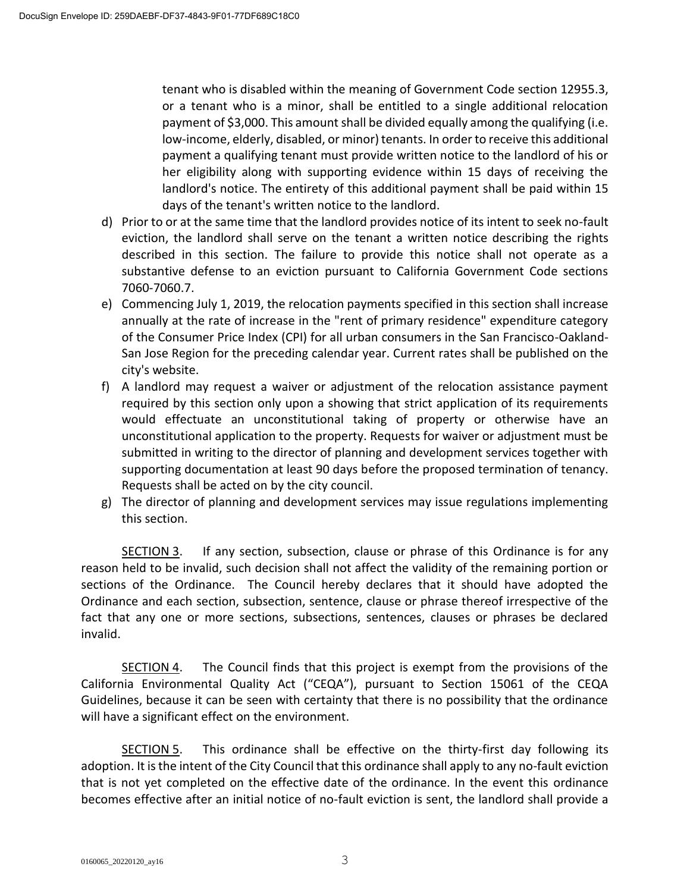tenant who is disabled within the meaning of Government Code section 12955.3, or a tenant who is a minor, shall be entitled to a single additional relocation payment of \$3,000. This amount shall be divided equally among the qualifying (i.e. low-income, elderly, disabled, or minor) tenants. In order to receive this additional payment a qualifying tenant must provide written notice to the landlord of his or her eligibility along with supporting evidence within 15 days of receiving the landlord's notice. The entirety of this additional payment shall be paid within 15 days of the tenant's written notice to the landlord.

- d) Prior to or at the same time that the landlord provides notice of its intent to seek no-fault eviction, the landlord shall serve on the tenant a written notice describing the rights described in this section. The failure to provide this notice shall not operate as a substantive defense to an eviction pursuant to California Government Code sections 7060-7060.7.
- e) Commencing July 1, 2019, the relocation payments specified in this section shall increase annually at the rate of increase in the "rent of primary residence" expenditure category of the Consumer Price Index (CPI) for all urban consumers in the San Francisco-Oakland-San Jose Region for the preceding calendar year. Current rates shall be published on the city's website.
- f) A landlord may request a waiver or adjustment of the relocation assistance payment required by this section only upon a showing that strict application of its requirements would effectuate an unconstitutional taking of property or otherwise have an unconstitutional application to the property. Requests for waiver or adjustment must be submitted in writing to the director of planning and development services together with supporting documentation at least 90 days before the proposed termination of tenancy. Requests shall be acted on by the city council.
- g) The director of planning and development services may issue regulations implementing this section.

SECTION 3. If any section, subsection, clause or phrase of this Ordinance is for any reason held to be invalid, such decision shall not affect the validity of the remaining portion or sections of the Ordinance. The Council hereby declares that it should have adopted the Ordinance and each section, subsection, sentence, clause or phrase thereof irrespective of the fact that any one or more sections, subsections, sentences, clauses or phrases be declared invalid.

SECTION 4. The Council finds that this project is exempt from the provisions of the California Environmental Quality Act ("CEQA"), pursuant to Section 15061 of the CEQA Guidelines, because it can be seen with certainty that there is no possibility that the ordinance will have a significant effect on the environment.

SECTION 5. This ordinance shall be effective on the thirty-first day following its adoption. It is the intent of the City Council that this ordinance shall apply to any no-fault eviction that is not yet completed on the effective date of the ordinance. In the event this ordinance becomes effective after an initial notice of no-fault eviction is sent, the landlord shall provide a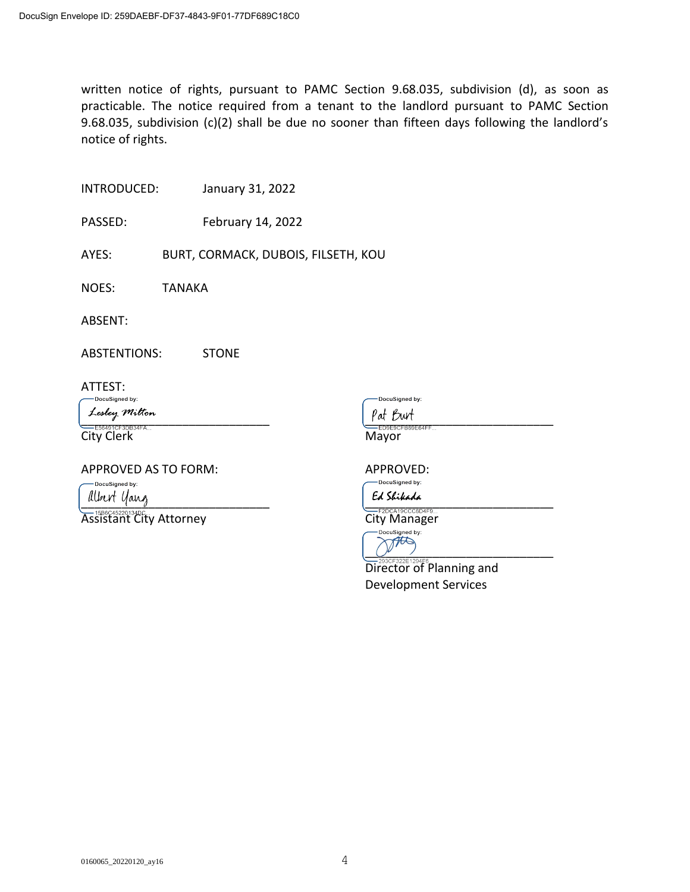written notice of rights, pursuant to PAMC Section 9.68.035, subdivision (d), as soon as practicable. The notice required from a tenant to the landlord pursuant to PAMC Section 9.68.035, subdivision (c)(2) shall be due no sooner than fifteen days following the landlord's notice of rights.

INTRODUCED: January 31, 2022

PASSED: February 14, 2022

AYES: BURT, CORMACK, DUBOIS, FILSETH, KOU

NOES: TANAKA

ABSENT:

ABSTENTIONS: STONE

ATTEST:

DocuSigned by:

 $\frac{\text{part}}{\text{part}}$ 

City Clerk Mayor

APPROVED AS TO FORM: APPROVED:

DocuSigned by:

 $\frac{1}{2}$ Assistant City Attorney<br>Assistant City Attorney City Manager

DocuSigned by:



**Director of Planning and** Development Services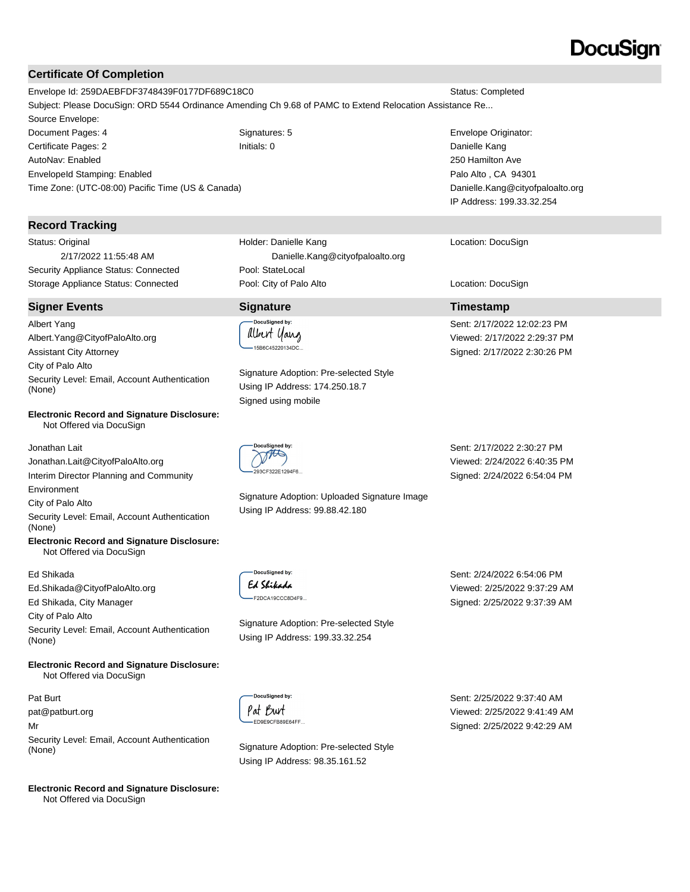### **Certificate Of Completion**

Envelope Id: 259DAEBFDF3748439F0177DF689C18C0 Status: Completed Subject: Please DocuSign: ORD 5544 Ordinance Amending Ch 9.68 of PAMC to Extend Relocation Assistance Re... Source Envelope: Document Pages: 4 Signatures: 5 Envelope Originator:

Certificate Pages: 2 Initials: 0 Danielle Kang AutoNav: Enabled EnvelopeId Stamping: Enabled Time Zone: (UTC-08:00) Pacific Time (US & Canada)

#### **Record Tracking**

Status: Original 2/17/2022 11:55:48 AM Security Appliance Status: Connected Pool: StateLocal

#### **Signer Events Signature Timestamp**

Albert Yang Albert.Yang@CityofPaloAlto.org Assistant City Attorney City of Palo Alto Security Level: Email, Account Authentication (None)

#### **Electronic Record and Signature Disclosure:**  Not Offered via DocuSign

Jonathan Lait Jonathan.Lait@CityofPaloAlto.org Interim Director Planning and Community Environment

City of Palo Alto

Security Level: Email, Account Authentication (None)

**Electronic Record and Signature Disclosure:**  Not Offered via DocuSign

Ed Shikada

Ed.Shikada@CityofPaloAlto.org

Ed Shikada, City Manager

City of Palo Alto

Security Level: Email, Account Authentication (None)

**Electronic Record and Signature Disclosure:**  Not Offered via DocuSign

Pat Burt pat@patburt.org Mr Security Level: Email, Account Authentication (None) Signature Adoption: Pre-selected Style

**Electronic Record and Signature Disclosure:**  Not Offered via DocuSign

Holder: Danielle Kang Danielle.Kang@cityofpaloalto.org Storage Appliance Status: Connected **Pool: City of Palo Alto** Location: DocuSign Location: DocuSign

# .<br>DocuSianed by:

albert yang -<br>-15B6C45220134DC..

Signature Adoption: Pre-selected Style Using IP Address: 174.250.18.7 Signed using mobile



Signature Adoption: Uploaded Signature Image Using IP Address: 99.88.42.180

Sent: 2/17/2022 2:30:27 PM Viewed: 2/24/2022 6:40:35 PM Signed: 2/24/2022 6:54:04 PM

DocuSianed by: Ed Shikada -F2DCA19CCC8D4F9..

Signature Adoption: Pre-selected Style Using IP Address: 199.33.32.254

Sent: 2/24/2022 6:54:06 PM Viewed: 2/25/2022 9:37:29 AM Signed: 2/25/2022 9:37:39 AM

DocuSigned by: Pat Burt ED9E9CFB89E64FF..

Using IP Address: 98.35.161.52

Sent: 2/25/2022 9:37:40 AM Viewed: 2/25/2022 9:41:49 AM Signed: 2/25/2022 9:42:29 AM

# Location: DocuSign

250 Hamilton Ave Palo Alto , CA 94301

Sent: 2/17/2022 12:02:23 PM Viewed: 2/17/2022 2:29:37 PM Signed: 2/17/2022 2:30:26 PM

Danielle.Kang@cityofpaloalto.org IP Address: 199.33.32.254

# DocuSian